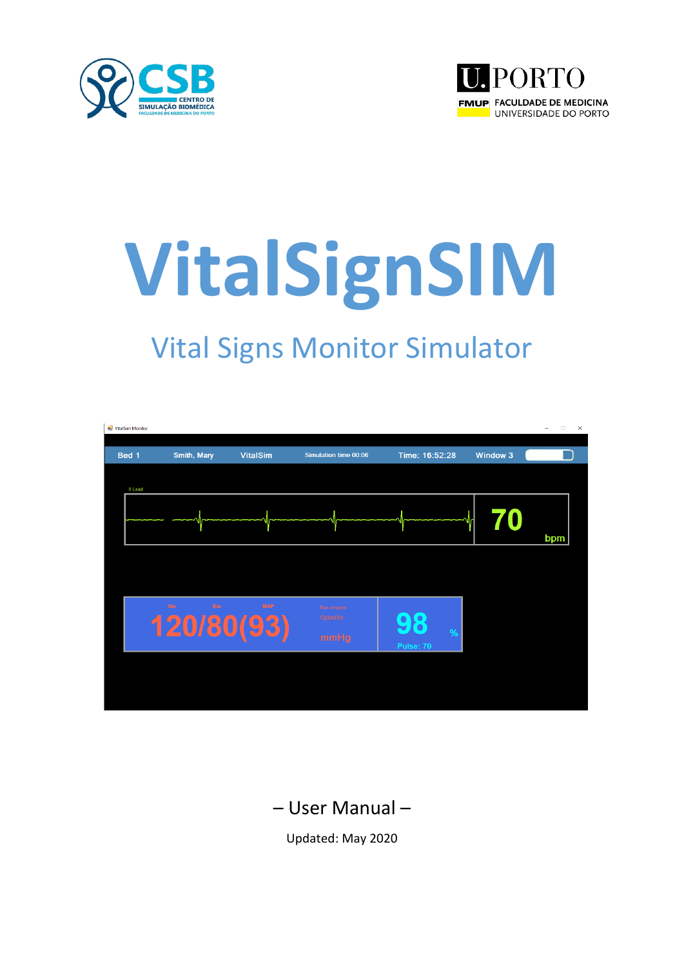



# **VitalSignSIM**

## Vital Signs Monitor Simulator



### – User Manual –

Updated: May 2020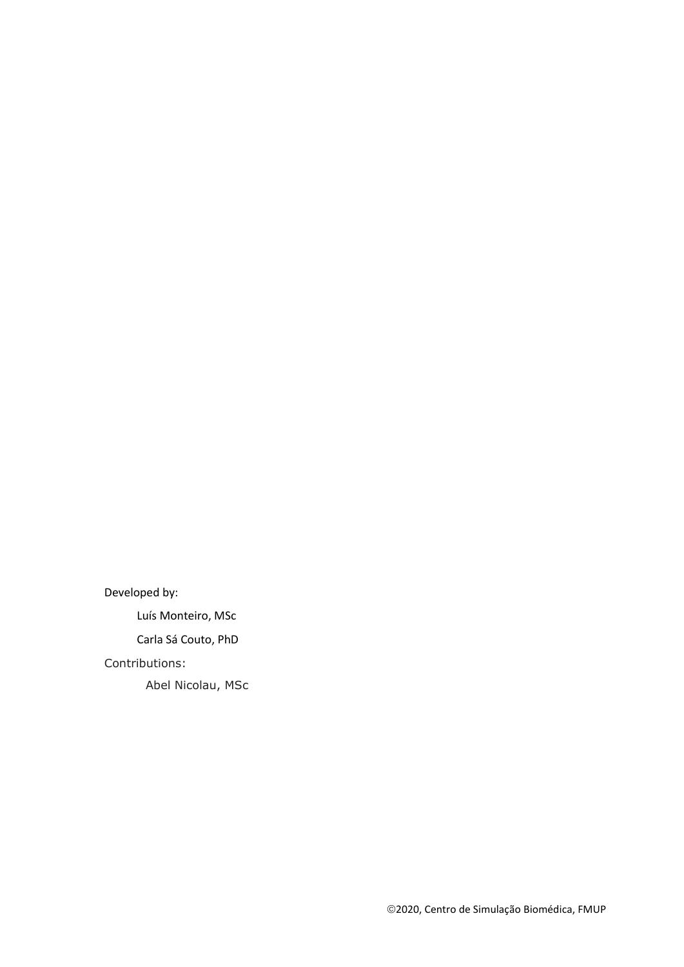Developed by:

Luís Monteiro, MSc

Carla Sá Couto, PhD

#### Contributions:

Abel Nicolau, MSc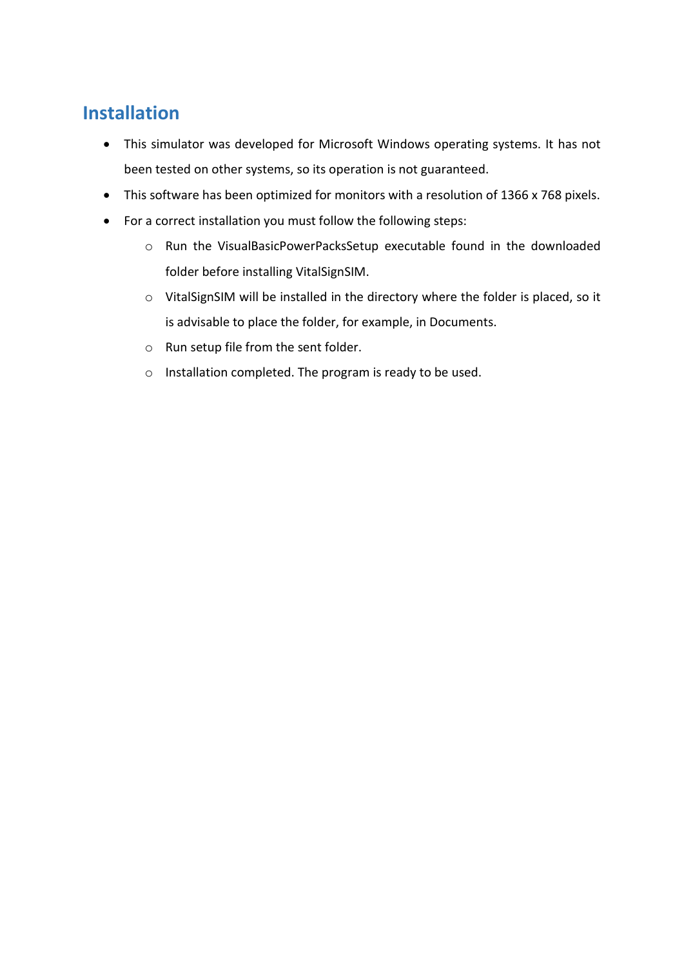#### **Installation**

- This simulator was developed for Microsoft Windows operating systems. It has not been tested on other systems, so its operation is not guaranteed.
- This software has been optimized for monitors with a resolution of 1366 x 768 pixels.
- For a correct installation you must follow the following steps:
	- o Run the VisualBasicPowerPacksSetup executable found in the downloaded folder before installing VitalSignSIM.
	- o VitalSignSIM will be installed in the directory where the folder is placed, so it is advisable to place the folder, for example, in Documents.
	- o Run setup file from the sent folder.
	- o Installation completed. The program is ready to be used.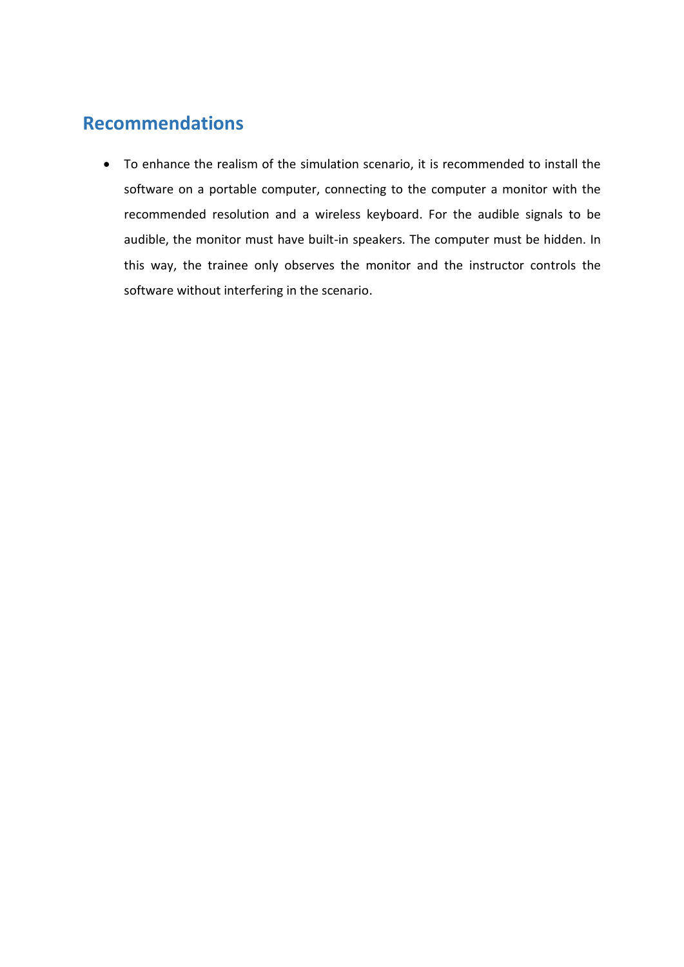#### **Recommendations**

• To enhance the realism of the simulation scenario, it is recommended to install the software on a portable computer, connecting to the computer a monitor with the recommended resolution and a wireless keyboard. For the audible signals to be audible, the monitor must have built-in speakers. The computer must be hidden. In this way, the trainee only observes the monitor and the instructor controls the software without interfering in the scenario.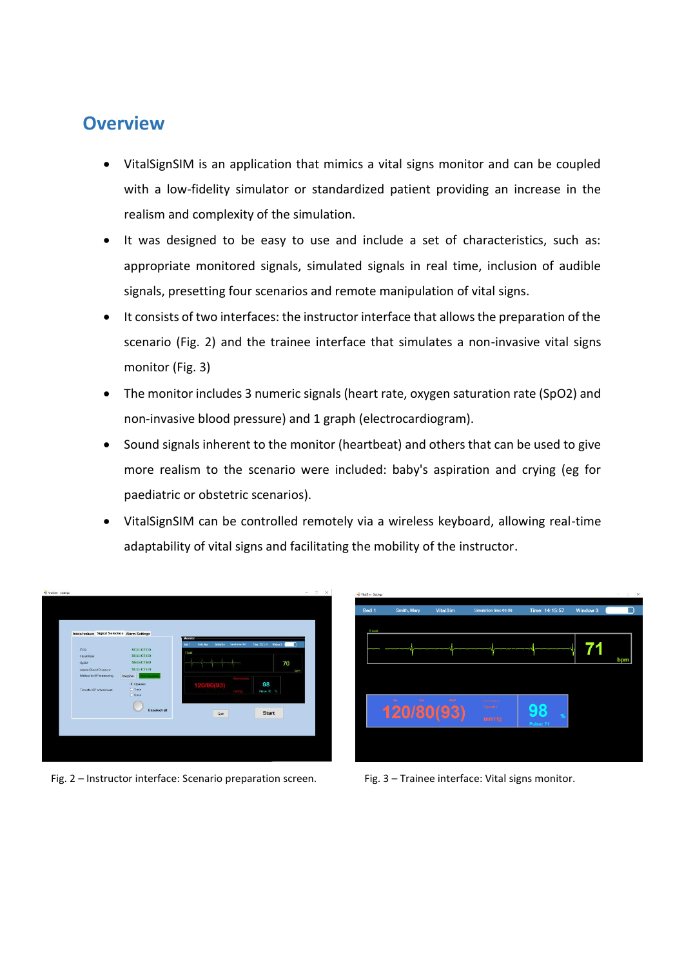#### **Overview**

- VitalSignSIM is an application that mimics a vital signs monitor and can be coupled with a low-fidelity simulator or standardized patient providing an increase in the realism and complexity of the simulation.
- It was designed to be easy to use and include a set of characteristics, such as: appropriate monitored signals, simulated signals in real time, inclusion of audible signals, presetting four scenarios and remote manipulation of vital signs.
- It consists of two interfaces: the instructor interface that allows the preparation of the scenario (Fig. 2) and the trainee interface that simulates a non-invasive vital signs monitor (Fig. 3)
- The monitor includes 3 numeric signals (heart rate, oxygen saturation rate (SpO2) and non-invasive blood pressure) and 1 graph (electrocardiogram).
- Sound signals inherent to the monitor (heartbeat) and others that can be used to give more realism to the scenario were included: baby's aspiration and crying (eg for paediatric or obstetric scenarios).
- VitalSignSIM can be controlled remotely via a wireless keyboard, allowing real-time adaptability of vital signs and facilitating the mobility of the instructor.



Fig. 2 – Instructor interface: Scenario preparation screen. Fig. 3 – Trainee interface: Vital signs monitor.

| <b>IE</b> VitaSim - Settings |                          |                 |                                  |                         |          | $\Box$<br>$\times$<br>$\sim$ |
|------------------------------|--------------------------|-----------------|----------------------------------|-------------------------|----------|------------------------------|
| Bed 1                        | Smith, Mary              | <b>VitalSim</b> | Simulation time 00:06            | Time: 14:15:57          | Window 3 |                              |
| IlLead                       |                          |                 |                                  |                         |          |                              |
|                              |                          |                 |                                  |                         |          | bpm                          |
|                              |                          |                 |                                  |                         |          |                              |
|                              | 30s<br>Dia<br>120/80(93) | <b>MAP</b>      | Non-invasive<br>Operator<br>mmHg | 98<br>$\%$<br>Pulse: 71 |          |                              |
|                              |                          |                 |                                  |                         |          |                              |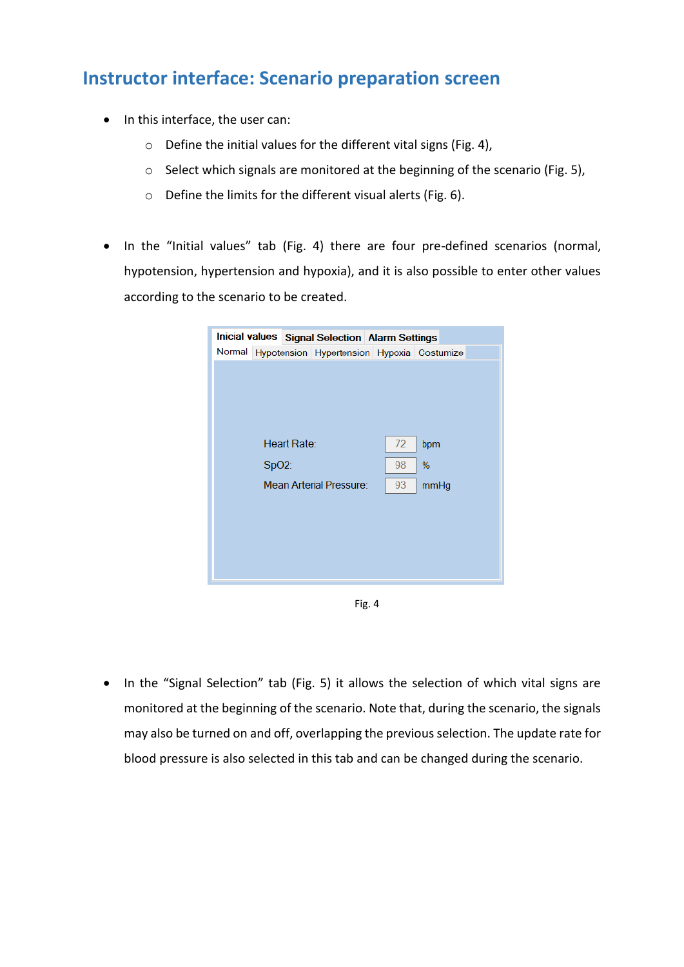#### **Instructor interface: Scenario preparation screen**

- In this interface, the user can:
	- o Define the initial values for the different vital signs (Fig. 4),
	- o Select which signals are monitored at the beginning of the scenario (Fig. 5),
	- o Define the limits for the different visual alerts (Fig. 6).
- In the "Initial values" tab (Fig. 4) there are four pre-defined scenarios (normal, hypotension, hypertension and hypoxia), and it is also possible to enter other values according to the scenario to be created.

|                                |  | Inicial values Signal Selection Alarm Settings    |  |    |      |  |
|--------------------------------|--|---------------------------------------------------|--|----|------|--|
|                                |  | Normal Hypotension Hypertension Hypoxia Costumize |  |    |      |  |
|                                |  |                                                   |  |    |      |  |
|                                |  |                                                   |  |    |      |  |
|                                |  |                                                   |  |    |      |  |
|                                |  |                                                   |  |    |      |  |
|                                |  |                                                   |  |    |      |  |
| Heart Rate:                    |  |                                                   |  | 72 | bpm  |  |
| $SpO2$ :                       |  |                                                   |  | 98 | %    |  |
| <b>Mean Arterial Pressure:</b> |  |                                                   |  | 93 | mmHg |  |
|                                |  |                                                   |  |    |      |  |
|                                |  |                                                   |  |    |      |  |
|                                |  |                                                   |  |    |      |  |
|                                |  |                                                   |  |    |      |  |
|                                |  |                                                   |  |    |      |  |
|                                |  |                                                   |  |    |      |  |

Fig. 4

• In the "Signal Selection" tab (Fig. 5) it allows the selection of which vital signs are monitored at the beginning of the scenario. Note that, during the scenario, the signals may also be turned on and off, overlapping the previous selection. The update rate for blood pressure is also selected in this tab and can be changed during the scenario.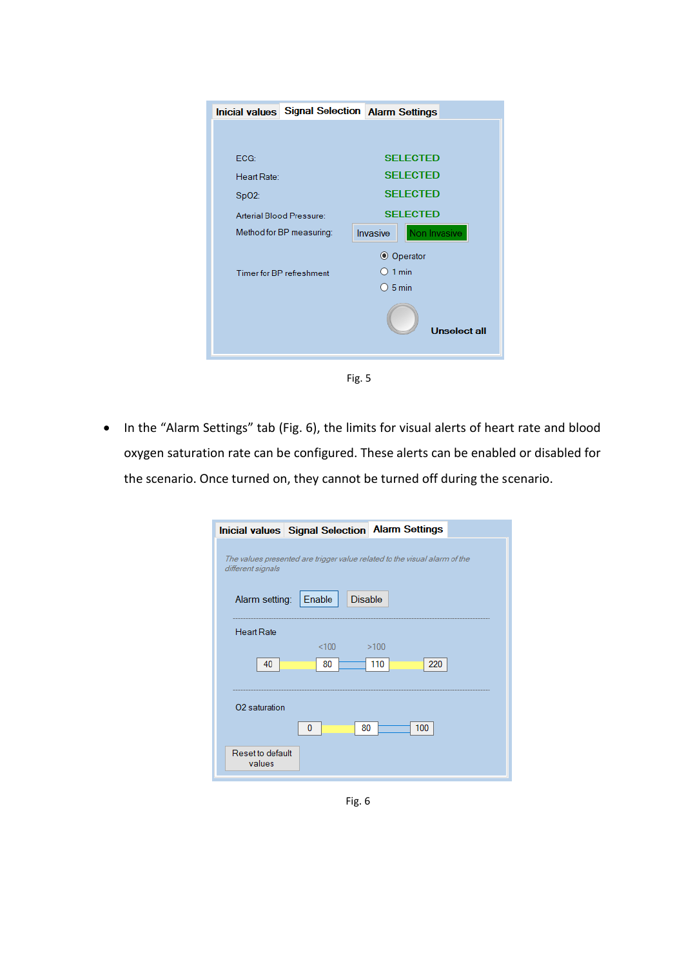|             | <b>Inicial values</b> Signal Selection Alarm Settings |                 |                     |
|-------------|-------------------------------------------------------|-----------------|---------------------|
|             |                                                       |                 |                     |
|             |                                                       |                 |                     |
| ECG:        |                                                       |                 | <b>SELECTED</b>     |
| Heart Rate: |                                                       |                 | <b>SELECTED</b>     |
| SpO2:       |                                                       |                 | <b>SELECTED</b>     |
|             | Arterial Blood Pressure:                              |                 | <b>SELECTED</b>     |
|             | Method for BP measuring:                              | Invasive        | Non Invasive        |
|             |                                                       |                 | ◎ Operator          |
|             | <b>Timer for BP refreshment</b>                       | $\supset$ 1 min |                     |
|             |                                                       | $O$ 5 min       |                     |
|             |                                                       |                 | <b>Unselect all</b> |
|             |                                                       |                 |                     |



• In the "Alarm Settings" tab (Fig. 6), the limits for visual alerts of heart rate and blood oxygen saturation rate can be configured. These alerts can be enabled or disabled for the scenario. Once turned on, they cannot be turned off during the scenario.

| <b>Inicial values Signal Selection Alarm Settings</b>                                          |  |  |  |  |  |  |
|------------------------------------------------------------------------------------------------|--|--|--|--|--|--|
| The values presented are trigger value related to the visual alarm of the<br>different signals |  |  |  |  |  |  |
| Alarm setting:<br><b>Disable</b><br>Enable                                                     |  |  |  |  |  |  |
| <b>Heart Rate</b>                                                                              |  |  |  |  |  |  |
| <100<br>>100<br>220<br>110<br>40<br>80                                                         |  |  |  |  |  |  |
| O <sub>2</sub> saturation                                                                      |  |  |  |  |  |  |
| 100<br>0<br>80                                                                                 |  |  |  |  |  |  |
| Reset to default<br>values                                                                     |  |  |  |  |  |  |

Fig. 6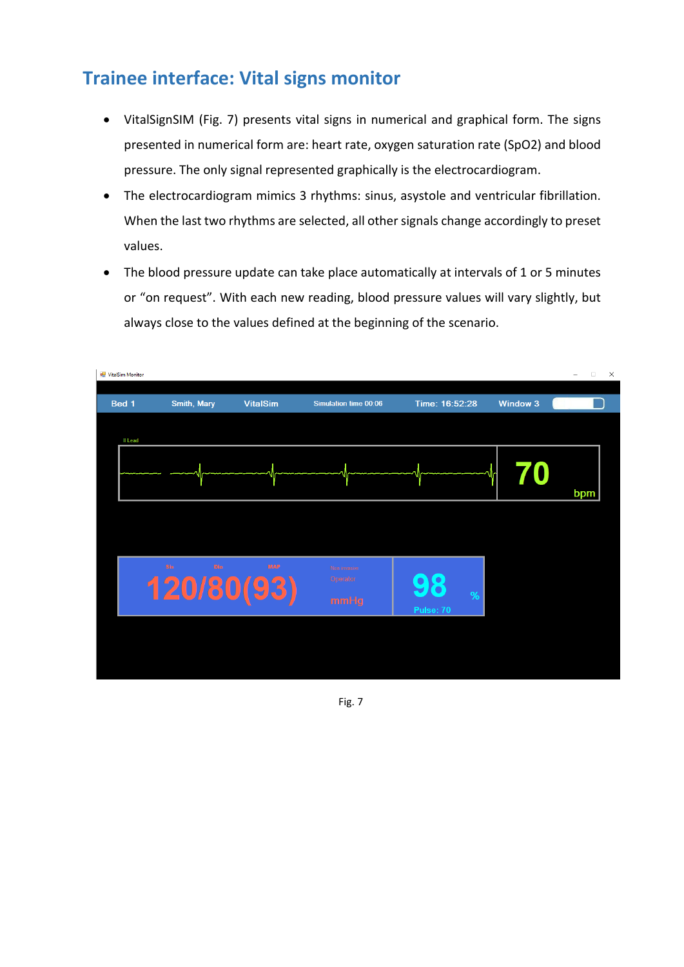#### **Trainee interface: Vital signs monitor**

- VitalSignSIM (Fig. 7) presents vital signs in numerical and graphical form. The signs presented in numerical form are: heart rate, oxygen saturation rate (SpO2) and blood pressure. The only signal represented graphically is the electrocardiogram.
- The electrocardiogram mimics 3 rhythms: sinus, asystole and ventricular fibrillation. When the last two rhythms are selected, all other signals change accordingly to preset values.
- The blood pressure update can take place automatically at intervals of 1 or 5 minutes or "on request". With each new reading, blood pressure values will vary slightly, but always close to the values defined at the beginning of the scenario.

| VitalSim Monitor |             |     |                          |                          |                |                 | $\Box$<br>$\times$<br>- |
|------------------|-------------|-----|--------------------------|--------------------------|----------------|-----------------|-------------------------|
| Bed 1            | Smith, Mary |     | <b>VitalSim</b>          | Simulation time 00:06    | Time: 16:52:28 | <b>Window 3</b> |                         |
| II Lead          |             |     |                          |                          |                |                 |                         |
|                  |             |     |                          |                          |                |                 | bpm                     |
|                  |             |     |                          |                          |                |                 |                         |
|                  | <b>Sis</b>  | Dia | <b>MAP</b><br>120/80(93) | Non invasive<br>Operator | $\%$           |                 |                         |
|                  |             |     |                          | mmHg                     | Pulse: 70      |                 |                         |
|                  |             |     |                          |                          |                |                 |                         |
|                  |             |     |                          |                          |                |                 |                         |

Fig. 7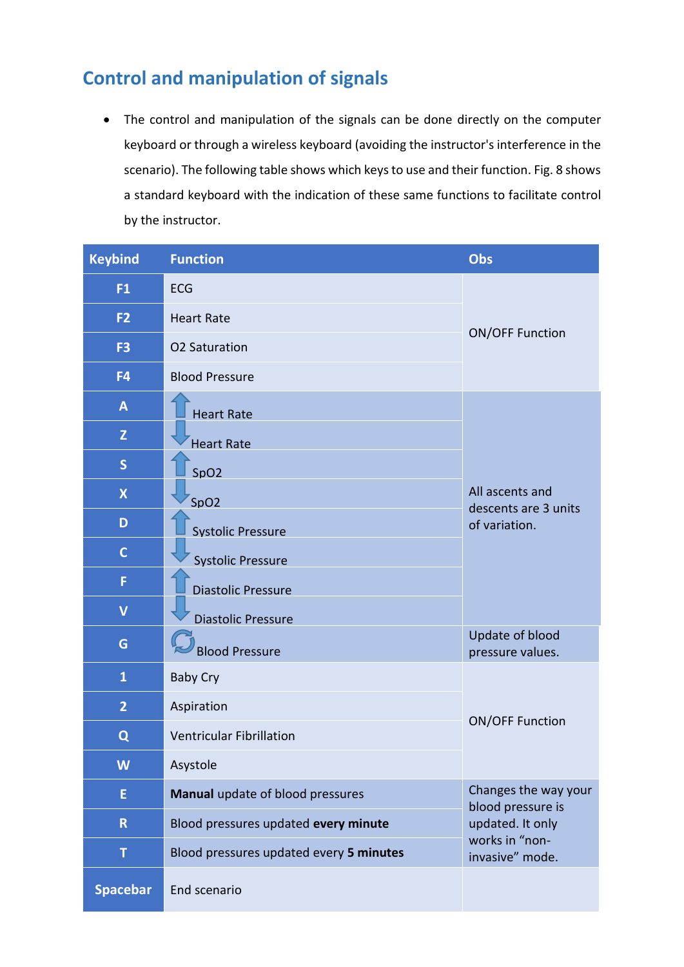#### **Control and manipulation of signals**

• The control and manipulation of the signals can be done directly on the computer keyboard or through a wireless keyboard (avoiding the instructor's interference in the scenario). The following table shows which keys to use and their function. Fig. 8 shows a standard keyboard with the indication of these same functions to facilitate control by the instructor.

| <b>Keybind</b>          | <b>Function</b>                         | Obs                                                                                                |  |  |
|-------------------------|-----------------------------------------|----------------------------------------------------------------------------------------------------|--|--|
| F <sub>1</sub>          | <b>ECG</b>                              |                                                                                                    |  |  |
| F <sub>2</sub>          | <b>Heart Rate</b>                       | <b>ON/OFF Function</b>                                                                             |  |  |
| F <sub>3</sub>          | <b>O2 Saturation</b>                    |                                                                                                    |  |  |
| F <sub>4</sub>          | <b>Blood Pressure</b>                   |                                                                                                    |  |  |
| A                       | <b>Heart Rate</b>                       |                                                                                                    |  |  |
| $\mathsf{Z}$            | <b>Heart Rate</b>                       |                                                                                                    |  |  |
| S                       | SpO2                                    | All ascents and<br>descents are 3 units<br>of variation.                                           |  |  |
| $\boldsymbol{X}$        | SpO <sub>2</sub>                        |                                                                                                    |  |  |
| D                       | <b>Systolic Pressure</b>                |                                                                                                    |  |  |
| $\mathbf C$             | <b>Systolic Pressure</b>                |                                                                                                    |  |  |
| F                       | <b>Diastolic Pressure</b>               |                                                                                                    |  |  |
| $\overline{\mathsf{V}}$ | <b>Diastolic Pressure</b>               |                                                                                                    |  |  |
| G                       | <b>Blood Pressure</b>                   | Update of blood<br>pressure values.                                                                |  |  |
| $\mathbf{1}$            | <b>Baby Cry</b>                         |                                                                                                    |  |  |
| $\overline{2}$          | Aspiration                              |                                                                                                    |  |  |
| Q                       | <b>Ventricular Fibrillation</b>         | <b>ON/OFF Function</b>                                                                             |  |  |
| W                       | Asystole                                |                                                                                                    |  |  |
| E                       | Manual update of blood pressures        | Changes the way your<br>blood pressure is<br>updated. It only<br>works in "non-<br>invasive" mode. |  |  |
| $\mathsf R$             | Blood pressures updated every minute    |                                                                                                    |  |  |
| T                       | Blood pressures updated every 5 minutes |                                                                                                    |  |  |
| <b>Spacebar</b>         | End scenario                            |                                                                                                    |  |  |